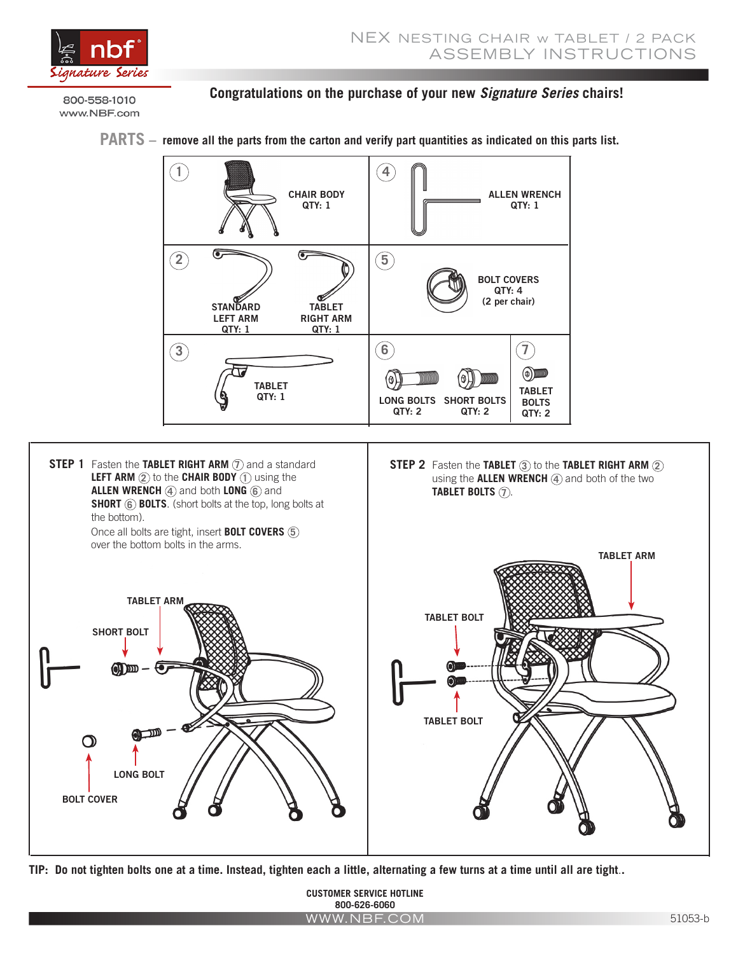

800-558-1010 www.NBF.com

SHORT BOLT

LONG BOLT

 $\textcircled{\tiny{1}}\text{m}-\textcircled{\tiny{T}}$ 

BOLT COVER

TABLET ARM

## **Congratulations on the purchase of your new** *Signature Series* **chairs!**



**TIP: Do not tighten bolts one at a time. Instead, tighten each a little, alternating a few turns at a time until all are tight**.**.**

**CUSTOMER SERVICE HOTLINE 800-626-6060** WWW.NBF.COM

TABLET BOLT

TABLET BOLT